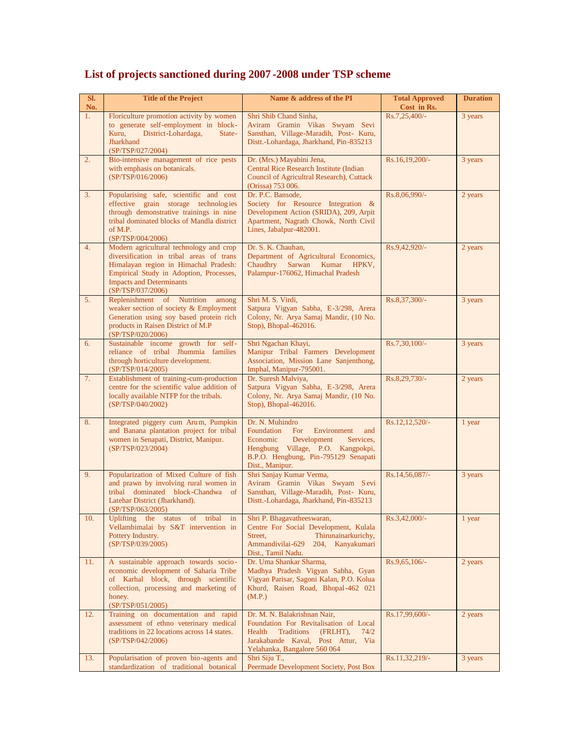| SI.<br>No. | <b>Title of the Project</b>                                                                                                                                                                                                     | Name & address of the PI                                                                                                                                                                           | <b>Total Approved</b><br>Cost in Rs. | <b>Duration</b> |
|------------|---------------------------------------------------------------------------------------------------------------------------------------------------------------------------------------------------------------------------------|----------------------------------------------------------------------------------------------------------------------------------------------------------------------------------------------------|--------------------------------------|-----------------|
| 1.         | Floriculture promotion activity by women<br>to generate self-employment in block-<br>Kuru,<br>District-Lohardaga,<br>State-<br><b>Jharkhand</b><br>(SP/TSP/027/2004)                                                            | Shri Shib Chand Sinha,<br>Aviram Gramin Vikas Swyam Sevi<br>Sansthan, Village-Maradih, Post- Kuru,<br>Distt.-Lohardaga, Jharkhand, Pin-835213                                                      | Rs.7,25,400/-                        | 3 years         |
| 2.         | Bio-intensive management of rice pests<br>with emphasis on botanicals.<br>(SP/TSP/016/2006)                                                                                                                                     | Dr. (Mrs.) Mayabini Jena,<br>Central Rice Research Institute (Indian<br>Council of Agricultral Research), Cuttack<br>(Orissa) 753 006.                                                             | Rs.16,19,200/-                       | 3 years         |
| 3.         | Popularising safe, scientific and cost<br>effective grain storage technologies<br>through demonstrative trainings in nine<br>tribal dominated blocks of Mandla district<br>of M.P.<br>(SP/TSP/004/2006)                         | Dr. P.C. Bansode.<br>Society for Resource Integration &<br>Development Action (SRIDA), 209, Arpit<br>Apartment, Nagrath Chowk, North Civil<br>Lines, Jabalpur-482001.                              | Rs.8,06,990/-                        | 2 years         |
| 4.         | Modern agricultural technology and crop<br>diversification in tribal areas of trans<br>Himalayan region in Himachal Pradesh:<br>Empirical Study in Adoption, Processes,<br><b>Impacts and Determinants</b><br>(SP/TSP/037/2006) | Dr. S. K. Chauhan,<br>Department of Agricultural Economics,<br>Chaudhry Sarwan Kumar HPKV,<br>Palampur-176062, Himachal Pradesh                                                                    | Rs.9,42,920/-                        | 2 years         |
| 5.         | Replenishment of<br>Nutrition<br>among<br>weaker section of society & Employment<br>Generation using soy based protein rich<br>products in Raisen District of M.P<br>(SP/TSP/020/2006)                                          | Shri M. S. Virdi,<br>Satpura Vigyan Sabha, E-3/298, Arera<br>Colony, Nr. Arya Samaj Mandir, (10 No.<br>Stop), Bhopal-462016.                                                                       | Rs.8,37,300/-                        | 3 years         |
| 6.         | Sustainable income growth for self-<br>reliance of tribal Jhummia families<br>through horticulture development.<br>(SP/TSP/014/2005)                                                                                            | Shri Ngachan Khayi,<br>Manipur Tribal Farmers Development<br>Association, Mission Lane Sanjenthong,<br>Imphal, Manipur-795001.                                                                     | Rs.7,30,100/-                        | 3 years         |
| 7.         | Establishment of training-cum-production<br>centre for the scientific value addition of<br>locally available NTFP for the tribals.<br>(SP/TSP/040/2002)                                                                         | Dr. Suresh Malviya,<br>Satpura Vigyan Sabha, E-3/298, Arera<br>Colony, Nr. Arya Samaj Mandir, (10 No.<br>Stop), Bhopal-462016.                                                                     | Rs.8,29,730/-                        | 2 years         |
| 8.         | Integrated piggery cum Arum, Pumpkin<br>and Banana plantation project for tribal<br>women in Senapati, District, Manipur.<br>(SP/TSP/023/2004)                                                                                  | Dr. N. Muhindro<br>Foundation<br>For<br>Environment<br>and<br>Economic<br>Development<br>Services,<br>Hengbung Village, P.O. Kangpokpi,<br>B.P.O. Hengbung, Pin-795129 Senapati<br>Dist., Manipur. | Rs.12,12,520/-                       | 1 year          |
| 9.         | Popularization of Mixed Culture of fish<br>and prawn by involving rural women in<br>tribal dominated block-Chandwa of<br>Latehar District (Jharkhand).<br>(SP/TSP/063/2005)                                                     | Shri Sanjay Kumar Verma,<br>Aviram Gramin Vikas Swyam Sevi<br>Sansthan, Village-Maradih, Post- Kuru,<br>Distt.-Lohardaga, Jharkhand, Pin-835213                                                    | Rs.14,56,087/-                       | 3 years         |
| 10.        | Uplifting the status of tribal in<br>Vellambimalai by S&T intervention in<br>Pottery Industry.<br>(SP/TSP/039/2005)                                                                                                             | Shri P. Bhagavatheeswaran,<br>Centre For Social Development, Kulala<br>Street,<br>Thirunainarkurichy,<br>Ammandivilai-629<br>204, Kanyakumari<br>Dist., Tamil Nadu.                                | Rs.3,42,000/-                        | 1 year          |
| 11.        | A sustainable approach towards socio-<br>economic development of Saharia Tribe<br>of Karhal block, through scientific<br>collection, processing and marketing of<br>honey.<br>(SP/TSP/051/2005)                                 | Dr. Uma Shankar Sharma,<br>Madhya Pradesh Vigyan Sabha, Gyan<br>Vigyan Parisar, Sagoni Kalan, P.O. Kolua<br>Khurd, Raisen Road, Bhopal-462 021<br>(M.P.)                                           | Rs.9,65,106/-                        | 2 years         |
| 12.        | Training on documentation and rapid<br>assessment of ethno veterinary medical<br>traditions in 22 locations across 14 states.<br>(SP/TSP/042/2006)                                                                              | Dr. M. N. Balakrishnan Nair,<br>Foundation For Revitalisation of Local<br>Traditions<br>(FRLHT),<br>Health<br>74/2<br>Jarakabande Kaval, Post Attur, Via<br>Yelahanka, Bangalore 560 064           | Rs.17,99,600/-                       | 2 years         |
| 13.        | Popularisation of proven bio-agents and<br>standardization of traditional botanical                                                                                                                                             | Shri Siju T.,<br>Peermade Development Society, Post Box                                                                                                                                            | Rs.11,32,219/-                       | 3 years         |

## **List of projects sanctioned during 2007 -2008 under TSP scheme**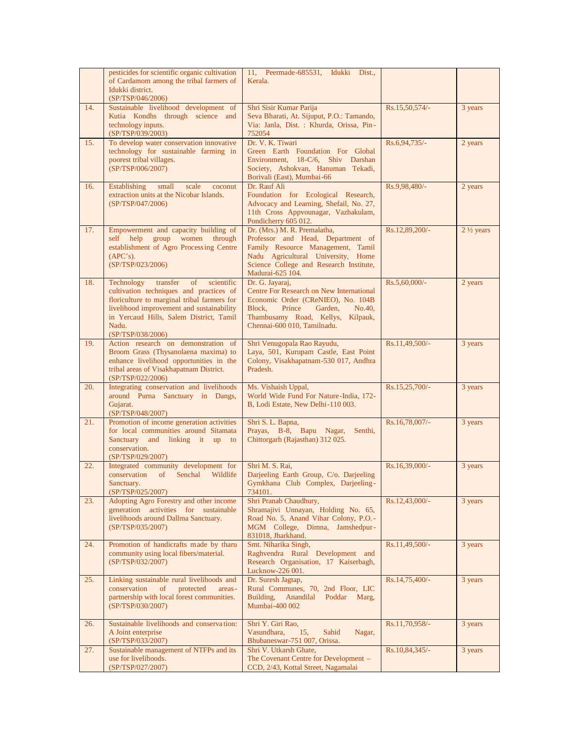|     | pesticides for scientific organic cultivation<br>of Cardamom among the tribal farmers of<br>Idukki district.                                                                                                                                               | 11, Peermade-685531, Idukki<br>Dist.,<br>Kerala.                                                                                                                                                            |                  |                      |
|-----|------------------------------------------------------------------------------------------------------------------------------------------------------------------------------------------------------------------------------------------------------------|-------------------------------------------------------------------------------------------------------------------------------------------------------------------------------------------------------------|------------------|----------------------|
| 14. | (SP/TSP/046/2006)<br>Sustainable livelihood development of<br>Kutia Kondhs through science and<br>technology inputs.<br>(SP/TSP/039/2003)                                                                                                                  | Shri Sisir Kumar Parija<br>Seva Bharati, At. Sijuput, P.O.: Tamando,<br>Via: Janla, Dist. : Khurda, Orissa, Pin-<br>752054                                                                                  | Rs.15,50,574/-   | 3 years              |
| 15. | To develop water conservation innovative<br>technology for sustainable farming in<br>poorest tribal villages.<br>(SP/TSP/006/2007)                                                                                                                         | Dr. V. K. Tiwari<br>Green Earth Foundation For Global<br>Environment, 18-C/6, Shiv Darshan<br>Society, Ashokvan, Hanuman Tekadi,<br>Borivali (East), Mumbai-66                                              | Rs.6,94,735/-    | 2 years              |
| 16. | <b>Establishing</b><br>small<br>coconut<br>scale<br>extraction units at the Nicobar Islands.<br>(SP/TSP/047/2006)                                                                                                                                          | Dr. Rauf Ali<br>Foundation for Ecological Research,<br>Advocacy and Learning, Shefail, No. 27,<br>11th Cross Appvounagar, Vazhakulam,<br>Pondicherry 605 012.                                               | Rs.9,98,480/-    | 2 years              |
| 17. | Empowerment and capacity building of<br>self help group women through<br>establishment of Agro Processing Centre<br>(APC's).<br>(SP/TSP/023/2006)                                                                                                          | Dr. (Mrs.) M. R. Premalatha,<br>Professor and Head, Department of<br>Family Resource Management, Tamil<br>Nadu Agricultural University, Home<br>Science College and Research Institute,<br>Madurai-625 104. | Rs.12,89,200/-   | $2\frac{1}{2}$ years |
| 18. | Technology<br>transfer<br>of<br>scientific<br>cultivation techniques and practices of<br>floriculture to marginal tribal farmers for<br>livelihood improvement and sustainability<br>in Yercaud Hills, Salem District, Tamil<br>Nadu.<br>(SP/TSP/038/2006) | Dr. G. Jayaraj,<br>Centre For Research on New International<br>Economic Order (CReNIEO), No. 104B<br>Block, Prince Garden,<br>No.40,<br>Thambusamy Road, Kellys, Kilpauk,<br>Chennai-600 010, Tamilnadu.    | Rs.5,60,000/-    | 2 years              |
| 19. | Action research on demonstration of<br>Broom Grass (Thysanolaena maxima) to<br>enhance livelihood opportunities in the<br>tribal areas of Visakhapatnam District.<br>(SP/TSP/022/2006)                                                                     | Shri Venugopala Rao Rayudu,<br>Laya, 501, Kurupam Castle, East Point<br>Colony, Visakhapatnam-530 017, Andhra<br>Pradesh.                                                                                   | Rs.11,49,500/-   | 3 years              |
| 20. | Integrating conservation and livelihoods<br>around Purna Sanctuary in Dangs,<br>Gujarat.<br>(SP/TSP/048/2007)                                                                                                                                              | Ms. Vishaish Uppal,<br>World Wide Fund For Nature-India, 172-<br>B, Lodi Estate, New Delhi-110 003.                                                                                                         | Rs.15,25,700/-   | 3 years              |
| 21. | Promotion of income generation activities<br>for local communities around Sitamata<br>Sanctuary and linking it up to<br>conservation.<br>(SP/TSP/029/2007)                                                                                                 | Shri S. L. Bapna,<br>Prayas, B-8, Bapu Nagar, Senthi,<br>Chittorgarh (Rajasthan) 312 025.                                                                                                                   | Rs.16,78,007/-   | 3 years              |
| 22. | Integrated community development for<br>conservation<br>$\sigma$<br>Senchal<br>Wildlife<br>Sanctuary.<br>(SP/TSP/025/2007)                                                                                                                                 | Shri M. S. Rai,<br>Darjeeling Earth Group, C/o. Darjeeling<br>Gymkhana Club Complex, Darjeeling-<br>734101.                                                                                                 | Rs.16,39,000/-   | 3 years              |
| 23. | Adopting Agro Forestry and other income<br>generation activities for sustainable<br>livelihoods around Dallma Sanctuary.<br>(SP/TSP/035/2007)                                                                                                              | Shri Pranab Chaudhury,<br>Shramajivi Unnayan, Holding No. 65,<br>Road No. 5, Anand Vihar Colony, P.O.-<br>MGM College, Dimna, Jamshedpur-<br>831018, Jharkhand.                                             | $Rs.12,43,000/-$ | 3 years              |
| 24. | Promotion of handicrafts made by tharu<br>community using local fibers/material.<br>(SP/TSP/032/2007)                                                                                                                                                      | Smt. Niharika Singh,<br>Raghvendra Rural Development and<br>Research Organisation, 17 Kaiserbagh,<br>Lucknow-226 001.                                                                                       | Rs.11,49,500/-   | 3 years              |
| 25. | Linking sustainable rural livelihoods and<br>conservation<br>of<br>protected<br>areas-<br>partnership with local forest communities.<br>(SP/TSP/030/2007)                                                                                                  | Dr. Suresh Jagtap,<br>Rural Communes, 70, 2nd Floor, LIC<br>Building, Anandilal Poddar Marg,<br>Mumbai-400 002                                                                                              | $Rs.14,75,400/-$ | 3 years              |
| 26. | Sustainable livelihoods and conservation:<br>A Joint enterprise<br>(SP/TSP/033/2007)                                                                                                                                                                       | Shri Y. Giri Rao,<br>Vasundhara,<br>15,<br>Sahid<br>Nagar,<br>Bhubaneswar-751 007, Orissa.                                                                                                                  | Rs.11,70,958/-   | 3 years              |
| 27. | Sustainable management of NTFPs and its<br>use for livelihoods.<br>(SP/TSP/027/2007)                                                                                                                                                                       | Shri V. Utkarsh Ghate,<br>The Covenant Centre for Development -<br>CCD, 2/43, Kottal Street, Nagamalai                                                                                                      | Rs.10,84,345/-   | 3 years              |